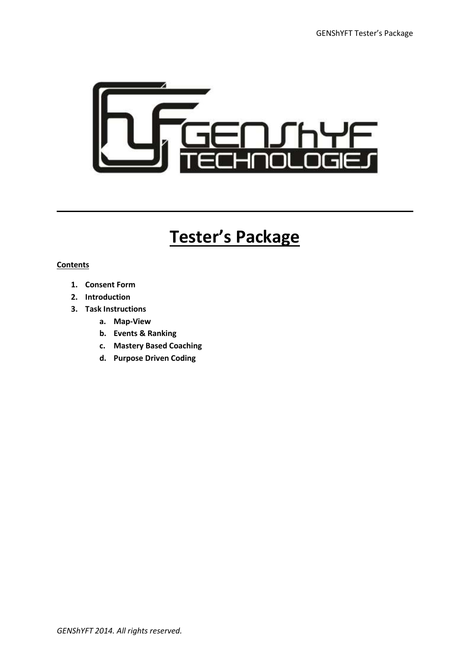

# **Tester's Package**

#### **Contents**

- **1. Consent Form**
- **2. Introduction**
- **3. Task Instructions**
	- **a. Map-View**
	- **b. Events & Ranking**
	- **c. Mastery Based Coaching**
	- **d. Purpose Driven Coding**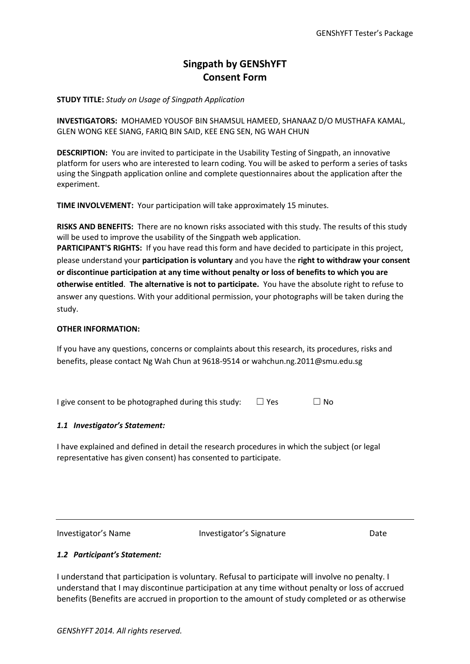## **Singpath by GENShYFT Consent Form**

**STUDY TITLE:** *Study on Usage of Singpath Application*

**INVESTIGATORS:** MOHAMED YOUSOF BIN SHAMSUL HAMEED, SHANAAZ D/O MUSTHAFA KAMAL, GLEN WONG KEE SIANG, FARIQ BIN SAID, KEE ENG SEN, NG WAH CHUN

**DESCRIPTION:** You are invited to participate in the Usability Testing of Singpath, an innovative platform for users who are interested to learn coding. You will be asked to perform a series of tasks using the Singpath application online and complete questionnaires about the application after the experiment.

**TIME INVOLVEMENT:** Your participation will take approximately 15 minutes.

**RISKS AND BENEFITS:** There are no known risks associated with this study. The results of this study will be used to improve the usability of the Singpath web application. **PARTICIPANT'S RIGHTS:** If you have read this form and have decided to participate in this project, please understand your **participation is voluntary** and you have the **right to withdraw your consent or discontinue participation at any time without penalty or loss of benefits to which you are otherwise entitled**. **The alternative is not to participate.** You have the absolute right to refuse to answer any questions. With your additional permission, your photographs will be taken during the study.

#### **OTHER INFORMATION:**

If you have any questions, concerns or complaints about this research, its procedures, risks and benefits, please contact Ng Wah Chun at 9618-9514 or wahchun.ng.2011@smu.edu.sg

I give consent to be photographed during this study:  $\Box$  Yes  $\Box$  No

#### *1.1 Investigator's Statement:*

I have explained and defined in detail the research procedures in which the subject (or legal representative has given consent) has consented to participate.

Investigator's Name The Investigator's Signature Date

#### *1.2 Participant's Statement:*

I understand that participation is voluntary. Refusal to participate will involve no penalty. I understand that I may discontinue participation at any time without penalty or loss of accrued benefits (Benefits are accrued in proportion to the amount of study completed or as otherwise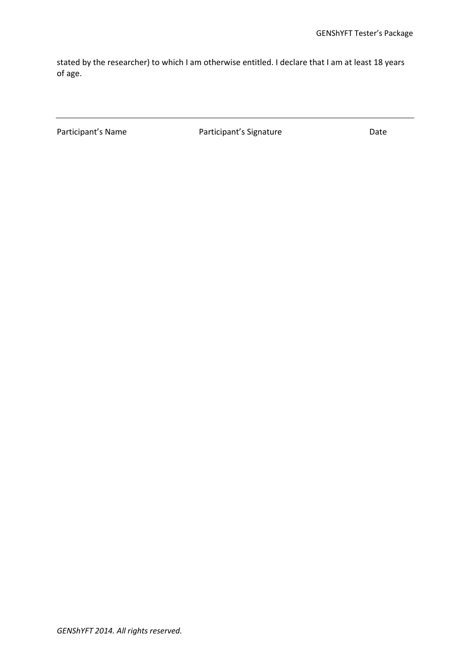stated by the researcher) to which I am otherwise entitled. I declare that I am at least 18 years of age.

Participant's Name **Participant's Signature** Participant's Signature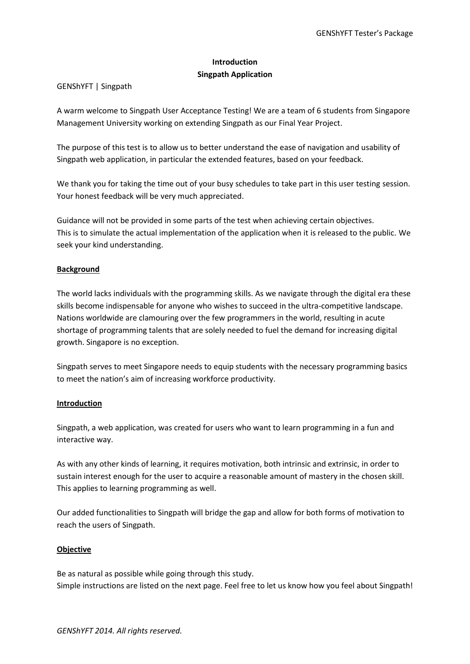#### **Introduction Singpath Application**

#### GENShYFT | Singpath

A warm welcome to Singpath User Acceptance Testing! We are a team of 6 students from Singapore Management University working on extending Singpath as our Final Year Project.

The purpose of this test is to allow us to better understand the ease of navigation and usability of Singpath web application, in particular the extended features, based on your feedback.

We thank you for taking the time out of your busy schedules to take part in this user testing session. Your honest feedback will be very much appreciated.

Guidance will not be provided in some parts of the test when achieving certain objectives. This is to simulate the actual implementation of the application when it is released to the public. We seek your kind understanding.

#### **Background**

The world lacks individuals with the programming skills. As we navigate through the digital era these skills become indispensable for anyone who wishes to succeed in the ultra-competitive landscape. Nations worldwide are clamouring over the few programmers in the world, resulting in acute shortage of programming talents that are solely needed to fuel the demand for increasing digital growth. Singapore is no exception.

Singpath serves to meet Singapore needs to equip students with the necessary programming basics to meet the nation's aim of increasing workforce productivity.

#### **Introduction**

Singpath, a web application, was created for users who want to learn programming in a fun and interactive way.

As with any other kinds of learning, it requires motivation, both intrinsic and extrinsic, in order to sustain interest enough for the user to acquire a reasonable amount of mastery in the chosen skill. This applies to learning programming as well.

Our added functionalities to Singpath will bridge the gap and allow for both forms of motivation to reach the users of Singpath.

#### **Objective**

Be as natural as possible while going through this study. Simple instructions are listed on the next page. Feel free to let us know how you feel about Singpath!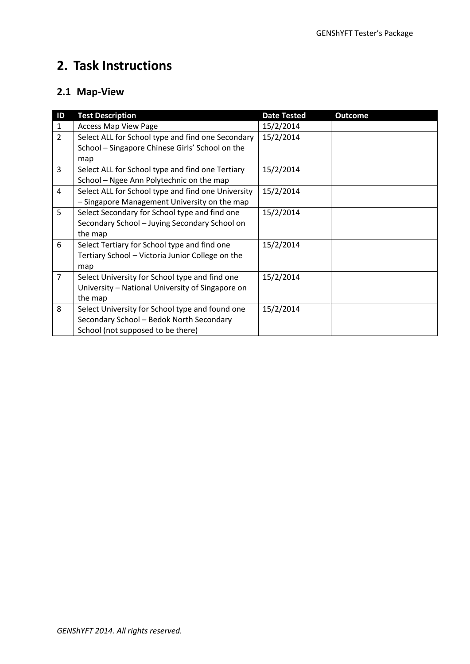## **2. Task Instructions**

## **2.1 Map-View**

| ID             | <b>Test Description</b>                            | <b>Date Tested</b> | <b>Outcome</b> |
|----------------|----------------------------------------------------|--------------------|----------------|
| $\mathbf{1}$   | <b>Access Map View Page</b>                        | 15/2/2014          |                |
| $\overline{2}$ | Select ALL for School type and find one Secondary  | 15/2/2014          |                |
|                | School - Singapore Chinese Girls' School on the    |                    |                |
|                | map                                                |                    |                |
| 3              | Select ALL for School type and find one Tertiary   | 15/2/2014          |                |
|                | School - Ngee Ann Polytechnic on the map           |                    |                |
| 4              | Select ALL for School type and find one University | 15/2/2014          |                |
|                | - Singapore Management University on the map       |                    |                |
| 5              | Select Secondary for School type and find one      | 15/2/2014          |                |
|                | Secondary School - Juying Secondary School on      |                    |                |
|                | the map                                            |                    |                |
| 6              | Select Tertiary for School type and find one       | 15/2/2014          |                |
|                | Tertiary School - Victoria Junior College on the   |                    |                |
|                | map                                                |                    |                |
| $\overline{7}$ | Select University for School type and find one     | 15/2/2014          |                |
|                | University - National University of Singapore on   |                    |                |
|                | the map                                            |                    |                |
| 8              | Select University for School type and found one    | 15/2/2014          |                |
|                | Secondary School - Bedok North Secondary           |                    |                |
|                | School (not supposed to be there)                  |                    |                |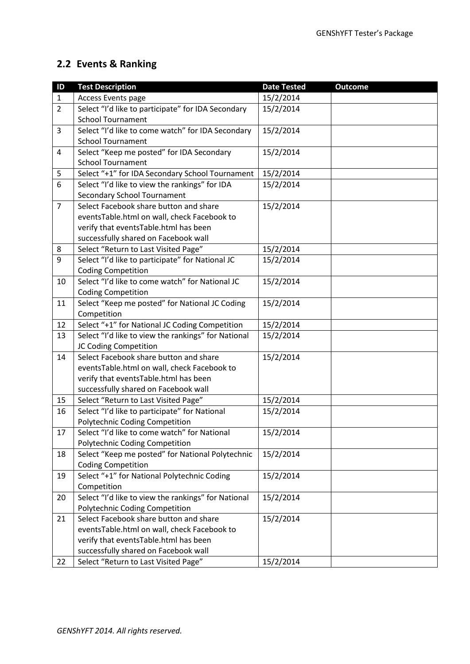## **2.2 Events & Ranking**

| $\overline{1}$ | <b>Test Description</b>                                                                                                        | <b>Date Tested</b> | <b>Outcome</b> |
|----------------|--------------------------------------------------------------------------------------------------------------------------------|--------------------|----------------|
| $\mathbf{1}$   | Access Events page                                                                                                             | 15/2/2014          |                |
| $\overline{2}$ | Select "I'd like to participate" for IDA Secondary                                                                             | 15/2/2014          |                |
|                | <b>School Tournament</b>                                                                                                       |                    |                |
| $\overline{3}$ | Select "I'd like to come watch" for IDA Secondary                                                                              | 15/2/2014          |                |
|                | <b>School Tournament</b>                                                                                                       |                    |                |
| 4              | Select "Keep me posted" for IDA Secondary                                                                                      | 15/2/2014          |                |
|                | <b>School Tournament</b>                                                                                                       |                    |                |
| 5              | Select "+1" for IDA Secondary School Tournament                                                                                | 15/2/2014          |                |
| 6              | Select "I'd like to view the rankings" for IDA                                                                                 | 15/2/2014          |                |
|                | <b>Secondary School Tournament</b>                                                                                             |                    |                |
| $\overline{7}$ | Select Facebook share button and share                                                                                         | 15/2/2014          |                |
|                | eventsTable.html on wall, check Facebook to                                                                                    |                    |                |
|                | verify that eventsTable.html has been                                                                                          |                    |                |
|                | successfully shared on Facebook wall                                                                                           |                    |                |
| 8              | Select "Return to Last Visited Page"                                                                                           | 15/2/2014          |                |
| 9              | Select "I'd like to participate" for National JC                                                                               | 15/2/2014          |                |
|                | <b>Coding Competition</b>                                                                                                      |                    |                |
| 10             | Select "I'd like to come watch" for National JC                                                                                | 15/2/2014          |                |
|                | <b>Coding Competition</b>                                                                                                      |                    |                |
| 11             | Select "Keep me posted" for National JC Coding                                                                                 | 15/2/2014          |                |
|                | Competition                                                                                                                    |                    |                |
| 12             | Select "+1" for National JC Coding Competition                                                                                 | 15/2/2014          |                |
| 13             | Select "I'd like to view the rankings" for National                                                                            | 15/2/2014          |                |
|                | JC Coding Competition                                                                                                          |                    |                |
| 14             | Select Facebook share button and share                                                                                         | 15/2/2014          |                |
|                | eventsTable.html on wall, check Facebook to                                                                                    |                    |                |
|                | verify that eventsTable.html has been                                                                                          |                    |                |
|                | successfully shared on Facebook wall                                                                                           |                    |                |
| 15             | Select "Return to Last Visited Page"                                                                                           | 15/2/2014          |                |
| 16             | Select "I'd like to participate" for National                                                                                  | 15/2/2014          |                |
|                | Polytechnic Coding Competition                                                                                                 |                    |                |
| 17             | Select "I'd like to come watch" for National                                                                                   | 15/2/2014          |                |
|                | Polytechnic Coding Competition                                                                                                 |                    |                |
| 18             | Select "Keep me posted" for National Polytechnic                                                                               | 15/2/2014          |                |
|                | <b>Coding Competition</b>                                                                                                      |                    |                |
| 19             | Select "+1" for National Polytechnic Coding                                                                                    | 15/2/2014          |                |
|                | Competition                                                                                                                    |                    |                |
| 20             | Select "I'd like to view the rankings" for National<br>Polytechnic Coding Competition                                          | 15/2/2014          |                |
|                |                                                                                                                                |                    |                |
|                |                                                                                                                                |                    |                |
|                |                                                                                                                                |                    |                |
|                | successfully shared on Facebook wall                                                                                           |                    |                |
|                |                                                                                                                                |                    |                |
| 21             | Select Facebook share button and share<br>eventsTable.html on wall, check Facebook to<br>verify that eventsTable.html has been | 15/2/2014          |                |
| 22             | Select "Return to Last Visited Page"                                                                                           | 15/2/2014          |                |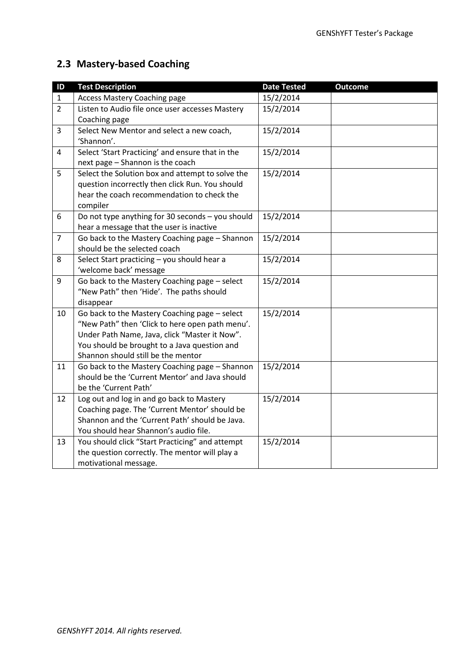## **2.3 Mastery-based Coaching**

| ID             | <b>Test Description</b>                                                                    | <b>Date Tested</b> | <b>Outcome</b> |
|----------------|--------------------------------------------------------------------------------------------|--------------------|----------------|
| $\mathbf{1}$   | <b>Access Mastery Coaching page</b>                                                        | 15/2/2014          |                |
| $\overline{2}$ | Listen to Audio file once user accesses Mastery                                            | 15/2/2014          |                |
|                | Coaching page                                                                              |                    |                |
| $\overline{3}$ | Select New Mentor and select a new coach,                                                  | 15/2/2014          |                |
|                | 'Shannon'.                                                                                 |                    |                |
| 4              | Select 'Start Practicing' and ensure that in the                                           | 15/2/2014          |                |
|                | next page - Shannon is the coach                                                           |                    |                |
| 5              | Select the Solution box and attempt to solve the                                           | 15/2/2014          |                |
|                | question incorrectly then click Run. You should                                            |                    |                |
|                | hear the coach recommendation to check the                                                 |                    |                |
|                | compiler                                                                                   |                    |                |
| 6              | Do not type anything for 30 seconds - you should                                           | 15/2/2014          |                |
|                | hear a message that the user is inactive                                                   |                    |                |
| $\overline{7}$ | Go back to the Mastery Coaching page - Shannon                                             | 15/2/2014          |                |
|                | should be the selected coach                                                               |                    |                |
| 8              | Select Start practicing - you should hear a                                                | 15/2/2014          |                |
|                | 'welcome back' message                                                                     |                    |                |
| 9              | Go back to the Mastery Coaching page - select                                              | 15/2/2014          |                |
|                | "New Path" then 'Hide'. The paths should                                                   |                    |                |
|                | disappear                                                                                  |                    |                |
| 10             | Go back to the Mastery Coaching page - select                                              | 15/2/2014          |                |
|                | "New Path" then 'Click to here open path menu'.                                            |                    |                |
|                | Under Path Name, Java, click "Master it Now".                                              |                    |                |
|                | You should be brought to a Java question and                                               |                    |                |
|                | Shannon should still be the mentor                                                         |                    |                |
| 11             | Go back to the Mastery Coaching page - Shannon                                             | 15/2/2014          |                |
|                | should be the 'Current Mentor' and Java should<br>be the 'Current Path'                    |                    |                |
| 12             |                                                                                            | 15/2/2014          |                |
|                | Log out and log in and go back to Mastery<br>Coaching page. The 'Current Mentor' should be |                    |                |
|                | Shannon and the 'Current Path' should be Java.                                             |                    |                |
|                | You should hear Shannon's audio file.                                                      |                    |                |
| 13             | You should click "Start Practicing" and attempt                                            | 15/2/2014          |                |
|                | the question correctly. The mentor will play a                                             |                    |                |
|                | motivational message.                                                                      |                    |                |